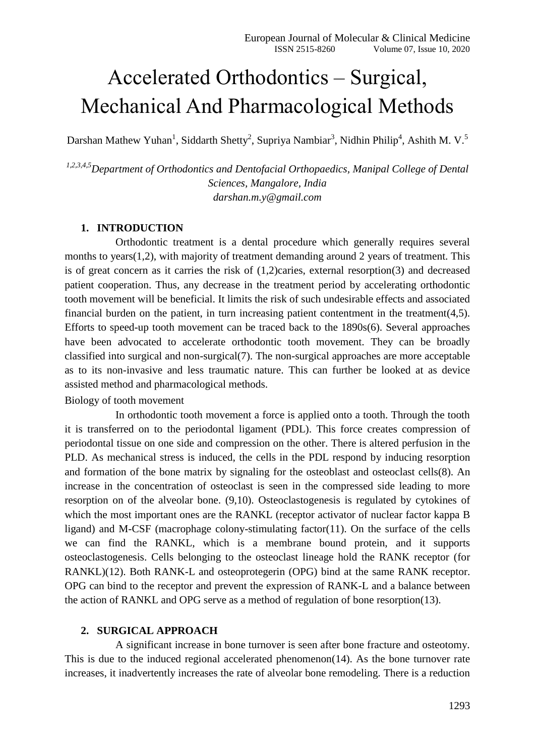# Accelerated Orthodontics – Surgical, Mechanical And Pharmacological Methods

Darshan Mathew Yuhan<sup>1</sup>, Siddarth Shetty<sup>2</sup>, Supriya Nambiar<sup>3</sup>, Nidhin Philip<sup>4</sup>, Ashith M. V.<sup>5</sup>

*1,2,3,4,5Department of Orthodontics and Dentofacial Orthopaedics, Manipal College of Dental Sciences, Mangalore, India darshan.m.y@gmail.com*

#### **1. INTRODUCTION**

Orthodontic treatment is a dental procedure which generally requires several months to years(1,2), with majority of treatment demanding around 2 years of treatment. This is of great concern as it carries the risk of (1,2)caries, external resorption(3) and decreased patient cooperation. Thus, any decrease in the treatment period by accelerating orthodontic tooth movement will be beneficial. It limits the risk of such undesirable effects and associated financial burden on the patient, in turn increasing patient contentment in the treatment $(4,5)$ . Efforts to speed-up tooth movement can be traced back to the 1890s(6). Several approaches have been advocated to accelerate orthodontic tooth movement. They can be broadly classified into surgical and non-surgical(7). The non-surgical approaches are more acceptable as to its non-invasive and less traumatic nature. This can further be looked at as device assisted method and pharmacological methods.

Biology of tooth movement

In orthodontic tooth movement a force is applied onto a tooth. Through the tooth it is transferred on to the periodontal ligament (PDL). This force creates compression of periodontal tissue on one side and compression on the other. There is altered perfusion in the PLD. As mechanical stress is induced, the cells in the PDL respond by inducing resorption and formation of the bone matrix by signaling for the osteoblast and osteoclast cells(8). An increase in the concentration of osteoclast is seen in the compressed side leading to more resorption on of the alveolar bone. (9,10). Osteoclastogenesis is regulated by cytokines of which the most important ones are the RANKL (receptor activator of nuclear factor kappa B ligand) and M-CSF (macrophage colony-stimulating factor(11). On the surface of the cells we can find the RANKL, which is a membrane bound protein, and it supports osteoclastogenesis. Cells belonging to the osteoclast lineage hold the RANK receptor (for RANKL)(12). Both RANK-L and osteoprotegerin (OPG) bind at the same RANK receptor. OPG can bind to the receptor and prevent the expression of RANK-L and a balance between the action of RANKL and OPG serve as a method of regulation of bone resorption(13).

#### **2. SURGICAL APPROACH**

A significant increase in bone turnover is seen after bone fracture and osteotomy. This is due to the induced regional accelerated phenomenon(14). As the bone turnover rate increases, it inadvertently increases the rate of alveolar bone remodeling. There is a reduction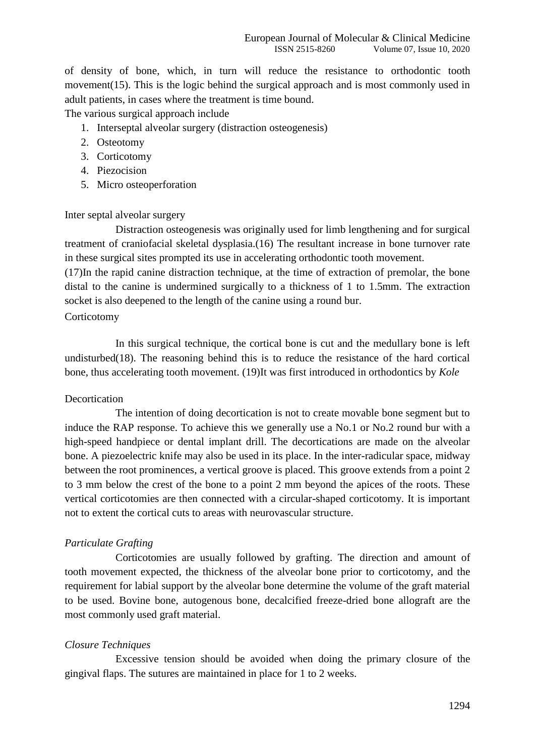of density of bone, which, in turn will reduce the resistance to orthodontic tooth movement(15). This is the logic behind the surgical approach and is most commonly used in adult patients, in cases where the treatment is time bound.

The various surgical approach include

- 1. Interseptal alveolar surgery (distraction osteogenesis)
- 2. Osteotomy
- 3. Corticotomy
- 4. Piezocision
- 5. Micro osteoperforation

## Inter septal alveolar surgery

Distraction osteogenesis was originally used for limb lengthening and for surgical treatment of craniofacial skeletal dysplasia.(16) The resultant increase in bone turnover rate in these surgical sites prompted its use in accelerating orthodontic tooth movement.

(17)In the rapid canine distraction technique, at the time of extraction of premolar, the bone distal to the canine is undermined surgically to a thickness of 1 to 1.5mm. The extraction socket is also deepened to the length of the canine using a round bur.

## Corticotomy

In this surgical technique, the cortical bone is cut and the medullary bone is left undisturbed(18). The reasoning behind this is to reduce the resistance of the hard cortical bone, thus accelerating tooth movement. (19)It was first introduced in orthodontics by *Kole*

## **Decortication**

The intention of doing decortication is not to create movable bone segment but to induce the RAP response. To achieve this we generally use a No.1 or No.2 round bur with a high-speed handpiece or dental implant drill. The decortications are made on the alveolar bone. A piezoelectric knife may also be used in its place. In the inter-radicular space, midway between the root prominences, a vertical groove is placed. This groove extends from a point 2 to 3 mm below the crest of the bone to a point 2 mm beyond the apices of the roots. These vertical corticotomies are then connected with a circular-shaped corticotomy. It is important not to extent the cortical cuts to areas with neurovascular structure.

## *Particulate Grafting*

Corticotomies are usually followed by grafting. The direction and amount of tooth movement expected, the thickness of the alveolar bone prior to corticotomy, and the requirement for labial support by the alveolar bone determine the volume of the graft material to be used. Bovine bone, autogenous bone, decalcified freeze-dried bone allograft are the most commonly used graft material.

## *Closure Techniques*

Excessive tension should be avoided when doing the primary closure of the gingival flaps. The sutures are maintained in place for 1 to 2 weeks.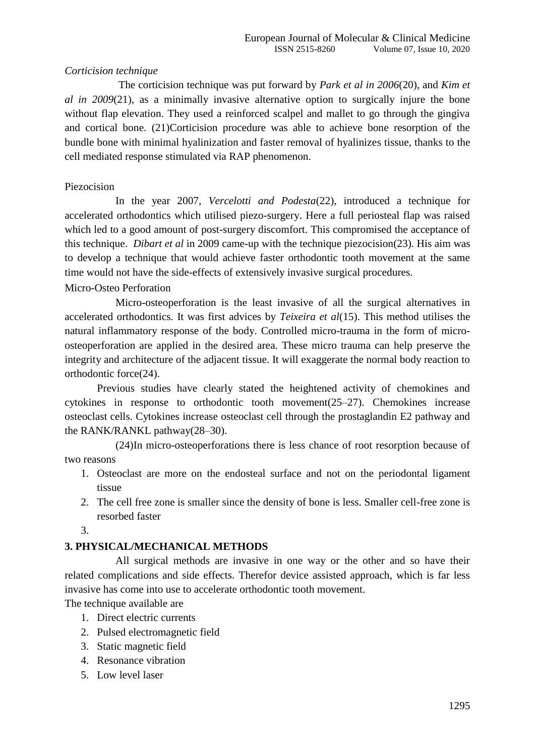# *Corticision technique*

 The corticision technique was put forward by *Park et al in 2006*(20), and *Kim et al in 2009*(21), as a minimally invasive alternative option to surgically injure the bone without flap elevation. They used a reinforced scalpel and mallet to go through the gingiva and cortical bone. (21)Corticision procedure was able to achieve bone resorption of the bundle bone with minimal hyalinization and faster removal of hyalinizes tissue, thanks to the cell mediated response stimulated via RAP phenomenon.

# Piezocision

In the year 2007, *Vercelotti and Podesta*(22), introduced a technique for accelerated orthodontics which utilised piezo-surgery. Here a full periosteal flap was raised which led to a good amount of post-surgery discomfort. This compromised the acceptance of this technique. *Dibart et al* in 2009 came-up with the technique piezocision(23). His aim was to develop a technique that would achieve faster orthodontic tooth movement at the same time would not have the side-effects of extensively invasive surgical procedures.

## Micro-Osteo Perforation

Micro-osteoperforation is the least invasive of all the surgical alternatives in accelerated orthodontics. It was first advices by *Teixeira et al*(15). This method utilises the natural inflammatory response of the body. Controlled micro-trauma in the form of microosteoperforation are applied in the desired area. These micro trauma can help preserve the integrity and architecture of the adjacent tissue. It will exaggerate the normal body reaction to orthodontic force(24).

Previous studies have clearly stated the heightened activity of chemokines and cytokines in response to orthodontic tooth movement(25–27). Chemokines increase osteoclast cells. Cytokines increase osteoclast cell through the prostaglandin E2 pathway and the RANK/RANKL pathway(28–30).

(24)In micro-osteoperforations there is less chance of root resorption because of two reasons

- 1. Osteoclast are more on the endosteal surface and not on the periodontal ligament tissue
- 2. The cell free zone is smaller since the density of bone is less. Smaller cell-free zone is resorbed faster

3.

# **3. PHYSICAL/MECHANICAL METHODS**

All surgical methods are invasive in one way or the other and so have their related complications and side effects. Therefor device assisted approach, which is far less invasive has come into use to accelerate orthodontic tooth movement.

The technique available are

- 1. Direct electric currents
- 2. Pulsed electromagnetic field
- 3. Static magnetic field
- 4. Resonance vibration
- 5. Low level laser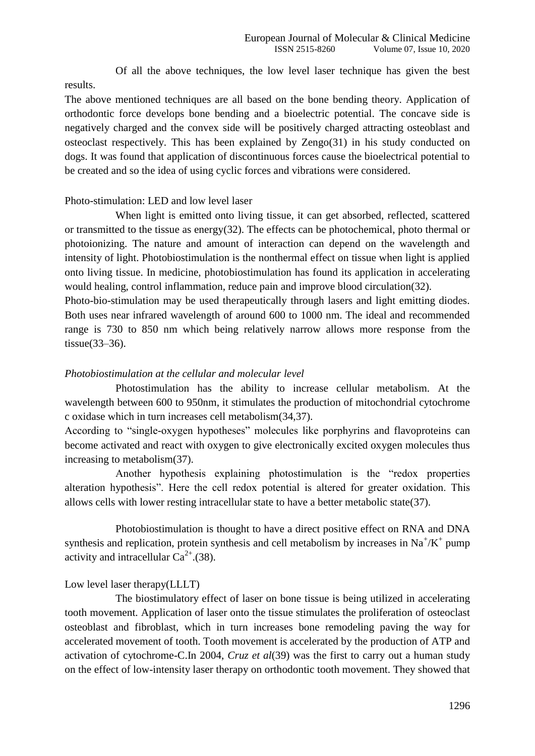Of all the above techniques, the low level laser technique has given the best results.

The above mentioned techniques are all based on the bone bending theory. Application of orthodontic force develops bone bending and a bioelectric potential. The concave side is negatively charged and the convex side will be positively charged attracting osteoblast and osteoclast respectively. This has been explained by Zengo(31) in his study conducted on dogs. It was found that application of discontinuous forces cause the bioelectrical potential to be created and so the idea of using cyclic forces and vibrations were considered.

## Photo-stimulation: LED and low level laser

When light is emitted onto living tissue, it can get absorbed, reflected, scattered or transmitted to the tissue as energy(32). The effects can be photochemical, photo thermal or photoionizing. The nature and amount of interaction can depend on the wavelength and intensity of light. Photobiostimulation is the nonthermal effect on tissue when light is applied onto living tissue. In medicine, photobiostimulation has found its application in accelerating would healing, control inflammation, reduce pain and improve blood circulation(32).

Photo-bio-stimulation may be used therapeutically through lasers and light emitting diodes. Both uses near infrared wavelength of around 600 to 1000 nm. The ideal and recommended range is 730 to 850 nm which being relatively narrow allows more response from the tissue(33–36).

### *Photobiostimulation at the cellular and molecular level*

Photostimulation has the ability to increase cellular metabolism. At the wavelength between 600 to 950nm, it stimulates the production of mitochondrial cytochrome c oxidase which in turn increases cell metabolism(34,37).

According to "single-oxygen hypotheses" molecules like porphyrins and flavoproteins can become activated and react with oxygen to give electronically excited oxygen molecules thus increasing to metabolism(37).

Another hypothesis explaining photostimulation is the "redox properties alteration hypothesis". Here the cell redox potential is altered for greater oxidation. This allows cells with lower resting intracellular state to have a better metabolic state(37).

Photobiostimulation is thought to have a direct positive effect on RNA and DNA synthesis and replication, protein synthesis and cell metabolism by increases in  $Na^+/K^+$  pump activity and intracellular  $Ca^{2+}$ . (38).

### Low level laser therapy(LLLT)

The biostimulatory effect of laser on bone tissue is being utilized in accelerating tooth movement. Application of laser onto the tissue stimulates the proliferation of osteoclast osteoblast and fibroblast, which in turn increases bone remodeling paving the way for accelerated movement of tooth. Tooth movement is accelerated by the production of ATP and activation of cytochrome-C.In 2004, *Cruz et al*(39) was the first to carry out a human study on the effect of low-intensity laser therapy on orthodontic tooth movement. They showed that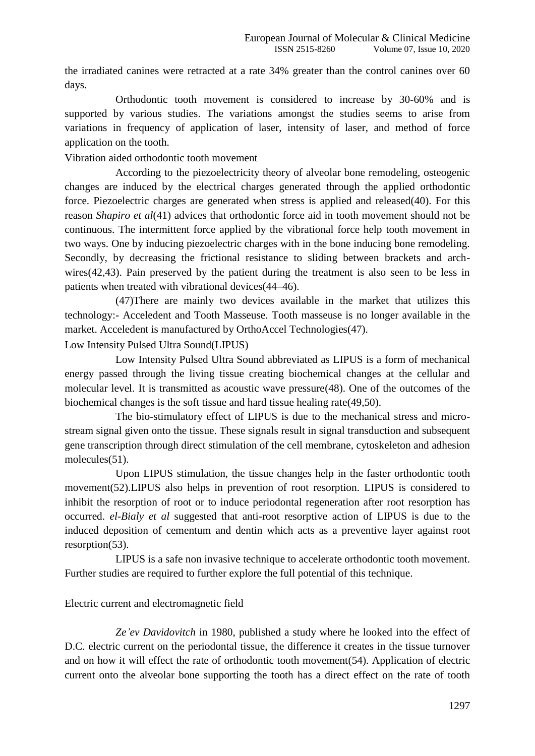the irradiated canines were retracted at a rate 34% greater than the control canines over 60 days.

Orthodontic tooth movement is considered to increase by 30-60% and is supported by various studies. The variations amongst the studies seems to arise from variations in frequency of application of laser, intensity of laser, and method of force application on the tooth.

Vibration aided orthodontic tooth movement

According to the piezoelectricity theory of alveolar bone remodeling, osteogenic changes are induced by the electrical charges generated through the applied orthodontic force. Piezoelectric charges are generated when stress is applied and released(40). For this reason *Shapiro et al*(41) advices that orthodontic force aid in tooth movement should not be continuous. The intermittent force applied by the vibrational force help tooth movement in two ways. One by inducing piezoelectric charges with in the bone inducing bone remodeling. Secondly, by decreasing the frictional resistance to sliding between brackets and archwires(42,43). Pain preserved by the patient during the treatment is also seen to be less in patients when treated with vibrational devices(44–46).

(47)There are mainly two devices available in the market that utilizes this technology:- Acceledent and Tooth Masseuse. Tooth masseuse is no longer available in the market. Acceledent is manufactured by OrthoAccel Technologies(47).

Low Intensity Pulsed Ultra Sound(LIPUS)

Low Intensity Pulsed Ultra Sound abbreviated as LIPUS is a form of mechanical energy passed through the living tissue creating biochemical changes at the cellular and molecular level. It is transmitted as acoustic wave pressure(48). One of the outcomes of the biochemical changes is the soft tissue and hard tissue healing rate(49,50).

The bio-stimulatory effect of LIPUS is due to the mechanical stress and microstream signal given onto the tissue. These signals result in signal transduction and subsequent gene transcription through direct stimulation of the cell membrane, cytoskeleton and adhesion molecules(51).

Upon LIPUS stimulation, the tissue changes help in the faster orthodontic tooth movement(52).LIPUS also helps in prevention of root resorption. LIPUS is considered to inhibit the resorption of root or to induce periodontal regeneration after root resorption has occurred. *el-Bialy et al* suggested that anti-root resorptive action of LIPUS is due to the induced deposition of cementum and dentin which acts as a preventive layer against root resorption(53).

LIPUS is a safe non invasive technique to accelerate orthodontic tooth movement. Further studies are required to further explore the full potential of this technique.

# Electric current and electromagnetic field

*Ze'ev Davidovitch* in 1980, published a study where he looked into the effect of D.C. electric current on the periodontal tissue, the difference it creates in the tissue turnover and on how it will effect the rate of orthodontic tooth movement(54). Application of electric current onto the alveolar bone supporting the tooth has a direct effect on the rate of tooth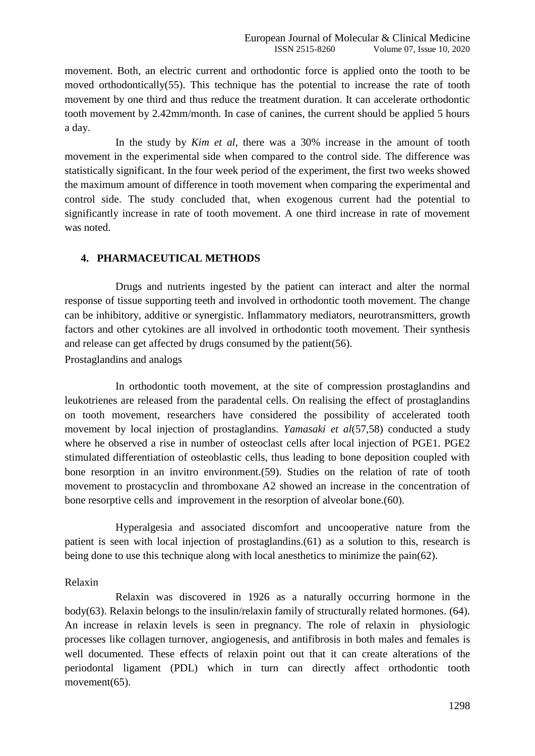movement. Both, an electric current and orthodontic force is applied onto the tooth to be moved orthodontically(55). This technique has the potential to increase the rate of tooth movement by one third and thus reduce the treatment duration. It can accelerate orthodontic tooth movement by 2.42mm/month. In case of canines, the current should be applied 5 hours a day.

In the study by *Kim et al,* there was a 30% increase in the amount of tooth movement in the experimental side when compared to the control side. The difference was statistically significant. In the four week period of the experiment, the first two weeks showed the maximum amount of difference in tooth movement when comparing the experimental and control side. The study concluded that, when exogenous current had the potential to significantly increase in rate of tooth movement. A one third increase in rate of movement was noted.

## **4. PHARMACEUTICAL METHODS**

Drugs and nutrients ingested by the patient can interact and alter the normal response of tissue supporting teeth and involved in orthodontic tooth movement. The change can be inhibitory, additive or synergistic. Inflammatory mediators, neurotransmitters, growth factors and other cytokines are all involved in orthodontic tooth movement. Their synthesis and release can get affected by drugs consumed by the patient(56).

Prostaglandins and analogs

In orthodontic tooth movement, at the site of compression prostaglandins and leukotrienes are released from the paradental cells. On realising the effect of prostaglandins on tooth movement, researchers have considered the possibility of accelerated tooth movement by local injection of prostaglandins. *Yamasaki et al*(57,58) conducted a study where he observed a rise in number of osteoclast cells after local injection of PGE1. PGE2 stimulated differentiation of osteoblastic cells, thus leading to bone deposition coupled with bone resorption in an invitro environment.(59). Studies on the relation of rate of tooth movement to prostacyclin and thromboxane A2 showed an increase in the concentration of bone resorptive cells and improvement in the resorption of alveolar bone.(60).

Hyperalgesia and associated discomfort and uncooperative nature from the patient is seen with local injection of prostaglandins.(61) as a solution to this, research is being done to use this technique along with local anesthetics to minimize the pain(62).

#### Relaxin

Relaxin was discovered in 1926 as a naturally occurring hormone in the body(63). Relaxin belongs to the insulin/relaxin family of structurally related hormones. (64). An increase in relaxin levels is seen in pregnancy. The role of relaxin in physiologic processes like collagen turnover, angiogenesis, and antifibrosis in both males and females is well documented. These effects of relaxin point out that it can create alterations of the periodontal ligament (PDL) which in turn can directly affect orthodontic tooth movement(65).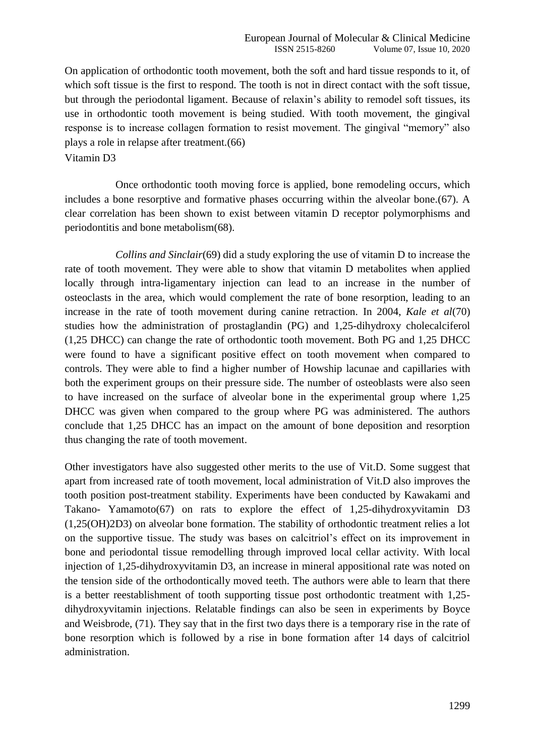On application of orthodontic tooth movement, both the soft and hard tissue responds to it, of which soft tissue is the first to respond. The tooth is not in direct contact with the soft tissue, but through the periodontal ligament. Because of relaxin's ability to remodel soft tissues, its use in orthodontic tooth movement is being studied. With tooth movement, the gingival response is to increase collagen formation to resist movement. The gingival "memory" also plays a role in relapse after treatment.(66)

Vitamin D3

Once orthodontic tooth moving force is applied, bone remodeling occurs, which includes a bone resorptive and formative phases occurring within the alveolar bone.(67). A clear correlation has been shown to exist between vitamin D receptor polymorphisms and periodontitis and bone metabolism(68).

*Collins and Sinclair*(69) did a study exploring the use of vitamin D to increase the rate of tooth movement. They were able to show that vitamin D metabolites when applied locally through intra-ligamentary injection can lead to an increase in the number of osteoclasts in the area, which would complement the rate of bone resorption, leading to an increase in the rate of tooth movement during canine retraction. In 2004, *Kale et al*(70) studies how the administration of prostaglandin (PG) and 1,25-dihydroxy cholecalciferol (1,25 DHCC) can change the rate of orthodontic tooth movement. Both PG and 1,25 DHCC were found to have a significant positive effect on tooth movement when compared to controls. They were able to find a higher number of Howship lacunae and capillaries with both the experiment groups on their pressure side. The number of osteoblasts were also seen to have increased on the surface of alveolar bone in the experimental group where 1,25 DHCC was given when compared to the group where PG was administered. The authors conclude that 1,25 DHCC has an impact on the amount of bone deposition and resorption thus changing the rate of tooth movement.

Other investigators have also suggested other merits to the use of Vit.D. Some suggest that apart from increased rate of tooth movement, local administration of Vit.D also improves the tooth position post-treatment stability. Experiments have been conducted by Kawakami and Takano- Yamamoto(67) on rats to explore the effect of 1,25-dihydroxyvitamin D3 (1,25(OH)2D3) on alveolar bone formation. The stability of orthodontic treatment relies a lot on the supportive tissue. The study was bases on calcitriol's effect on its improvement in bone and periodontal tissue remodelling through improved local cellar activity. With local injection of 1,25-dihydroxyvitamin D3, an increase in mineral appositional rate was noted on the tension side of the orthodontically moved teeth. The authors were able to learn that there is a better reestablishment of tooth supporting tissue post orthodontic treatment with 1,25 dihydroxyvitamin injections. Relatable findings can also be seen in experiments by Boyce and Weisbrode, (71). They say that in the first two days there is a temporary rise in the rate of bone resorption which is followed by a rise in bone formation after 14 days of calcitriol administration.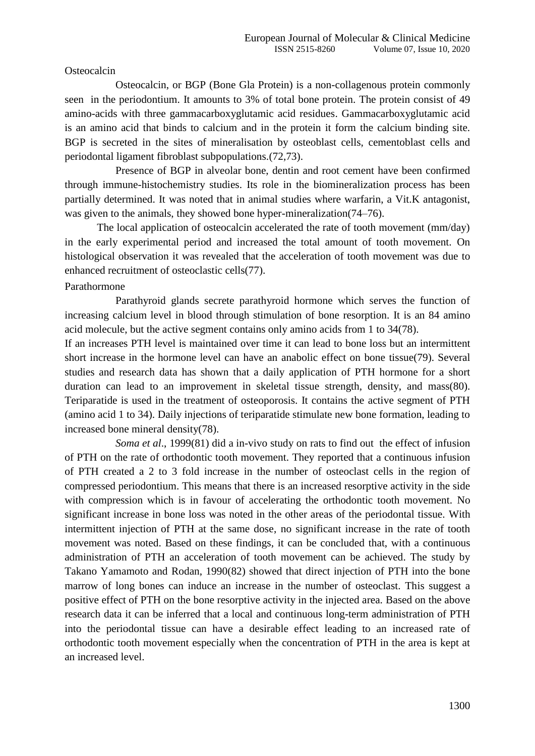#### **Osteocalcin**

Osteocalcin, or BGP (Bone Gla Protein) is a non-collagenous protein commonly seen in the periodontium. It amounts to 3% of total bone protein. The protein consist of 49 amino-acids with three gammacarboxyglutamic acid residues. Gammacarboxyglutamic acid is an amino acid that binds to calcium and in the protein it form the calcium binding site. BGP is secreted in the sites of mineralisation by osteoblast cells, cementoblast cells and periodontal ligament fibroblast subpopulations.(72,73).

Presence of BGP in alveolar bone, dentin and root cement have been confirmed through immune-histochemistry studies. Its role in the biomineralization process has been partially determined. It was noted that in animal studies where warfarin, a Vit.K antagonist, was given to the animals, they showed bone hyper-mineralization(74–76).

The local application of osteocalcin accelerated the rate of tooth movement (mm/day) in the early experimental period and increased the total amount of tooth movement. On histological observation it was revealed that the acceleration of tooth movement was due to enhanced recruitment of osteoclastic cells(77).

## Parathormone

Parathyroid glands secrete parathyroid hormone which serves the function of increasing calcium level in blood through stimulation of bone resorption. It is an 84 amino acid molecule, but the active segment contains only amino acids from 1 to 34(78).

If an increases PTH level is maintained over time it can lead to bone loss but an intermittent short increase in the hormone level can have an anabolic effect on bone tissue(79). Several studies and research data has shown that a daily application of PTH hormone for a short duration can lead to an improvement in skeletal tissue strength, density, and mass(80). Teriparatide is used in the treatment of osteoporosis. It contains the active segment of PTH (amino acid 1 to 34). Daily injections of teriparatide stimulate new bone formation, leading to increased bone mineral density(78).

*Soma et al*., 1999(81) did a in-vivo study on rats to find out the effect of infusion of PTH on the rate of orthodontic tooth movement. They reported that a continuous infusion of PTH created a 2 to 3 fold increase in the number of osteoclast cells in the region of compressed periodontium. This means that there is an increased resorptive activity in the side with compression which is in favour of accelerating the orthodontic tooth movement. No significant increase in bone loss was noted in the other areas of the periodontal tissue. With intermittent injection of PTH at the same dose, no significant increase in the rate of tooth movement was noted. Based on these findings, it can be concluded that, with a continuous administration of PTH an acceleration of tooth movement can be achieved. The study by Takano Yamamoto and Rodan, 1990(82) showed that direct injection of PTH into the bone marrow of long bones can induce an increase in the number of osteoclast. This suggest a positive effect of PTH on the bone resorptive activity in the injected area. Based on the above research data it can be inferred that a local and continuous long-term administration of PTH into the periodontal tissue can have a desirable effect leading to an increased rate of orthodontic tooth movement especially when the concentration of PTH in the area is kept at an increased level.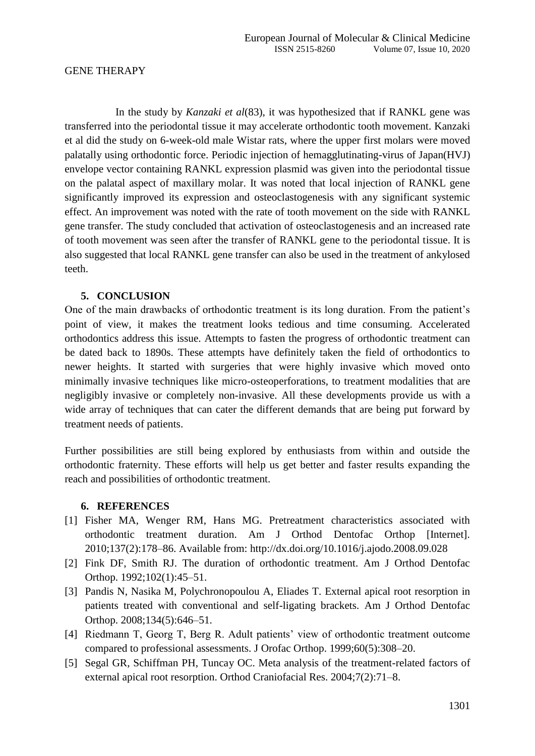### GENE THERAPY

In the study by *Kanzaki et al*(83), it was hypothesized that if RANKL gene was transferred into the periodontal tissue it may accelerate orthodontic tooth movement. Kanzaki et al did the study on 6-week-old male Wistar rats, where the upper first molars were moved palatally using orthodontic force. Periodic injection of hemagglutinating-virus of Japan(HVJ) envelope vector containing RANKL expression plasmid was given into the periodontal tissue on the palatal aspect of maxillary molar. It was noted that local injection of RANKL gene significantly improved its expression and osteoclastogenesis with any significant systemic effect. An improvement was noted with the rate of tooth movement on the side with RANKL gene transfer. The study concluded that activation of osteoclastogenesis and an increased rate of tooth movement was seen after the transfer of RANKL gene to the periodontal tissue. It is also suggested that local RANKL gene transfer can also be used in the treatment of ankylosed teeth.

## **5. CONCLUSION**

One of the main drawbacks of orthodontic treatment is its long duration. From the patient's point of view, it makes the treatment looks tedious and time consuming. Accelerated orthodontics address this issue. Attempts to fasten the progress of orthodontic treatment can be dated back to 1890s. These attempts have definitely taken the field of orthodontics to newer heights. It started with surgeries that were highly invasive which moved onto minimally invasive techniques like micro-osteoperforations, to treatment modalities that are negligibly invasive or completely non-invasive. All these developments provide us with a wide array of techniques that can cater the different demands that are being put forward by treatment needs of patients.

Further possibilities are still being explored by enthusiasts from within and outside the orthodontic fraternity. These efforts will help us get better and faster results expanding the reach and possibilities of orthodontic treatment.

#### **6. REFERENCES**

- [1] Fisher MA, Wenger RM, Hans MG. Pretreatment characteristics associated with orthodontic treatment duration. Am J Orthod Dentofac Orthop [Internet]. 2010;137(2):178–86. Available from: http://dx.doi.org/10.1016/j.ajodo.2008.09.028
- [2] Fink DF, Smith RJ. The duration of orthodontic treatment. Am J Orthod Dentofac Orthop. 1992;102(1):45–51.
- [3] Pandis N, Nasika M, Polychronopoulou A, Eliades T. External apical root resorption in patients treated with conventional and self-ligating brackets. Am J Orthod Dentofac Orthop. 2008;134(5):646–51.
- [4] Riedmann T, Georg T, Berg R. Adult patients' view of orthodontic treatment outcome compared to professional assessments. J Orofac Orthop. 1999;60(5):308–20.
- [5] Segal GR, Schiffman PH, Tuncay OC. Meta analysis of the treatment-related factors of external apical root resorption. Orthod Craniofacial Res. 2004;7(2):71–8.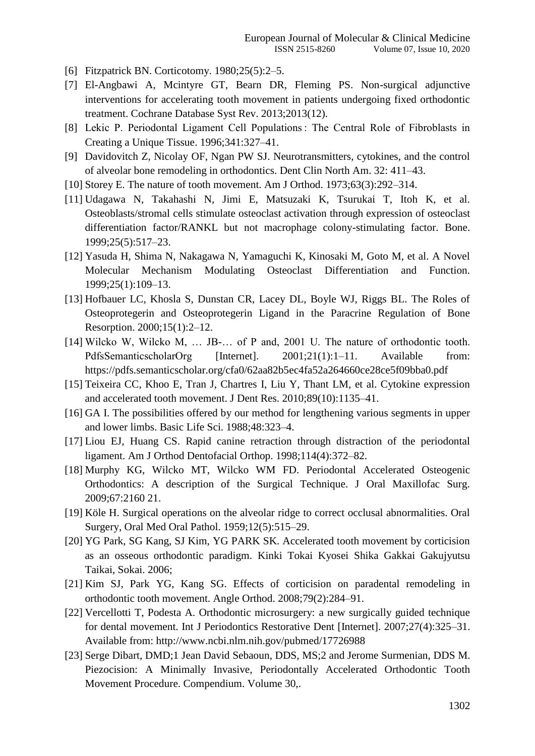- [6] Fitzpatrick BN. Corticotomy. 1980;25(5):2–5.
- [7] El-Angbawi A, Mcintyre GT, Bearn DR, Fleming PS. Non-surgical adjunctive interventions for accelerating tooth movement in patients undergoing fixed orthodontic treatment. Cochrane Database Syst Rev. 2013;2013(12).
- [8] Lekic P. Periodontal Ligament Cell Populations : The Central Role of Fibroblasts in Creating a Unique Tissue. 1996;341:327–41.
- [9] Davidovitch Z, Nicolay OF, Ngan PW SJ. Neurotransmitters, cytokines, and the control of alveolar bone remodeling in orthodontics. Dent Clin North Am. 32: 411–43.
- [10] Storey E. The nature of tooth movement. Am J Orthod. 1973;63(3):292–314.
- [11] Udagawa N, Takahashi N, Jimi E, Matsuzaki K, Tsurukai T, Itoh K, et al. Osteoblasts/stromal cells stimulate osteoclast activation through expression of osteoclast differentiation factor/RANKL but not macrophage colony-stimulating factor. Bone. 1999;25(5):517–23.
- [12] Yasuda H, Shima N, Nakagawa N, Yamaguchi K, Kinosaki M, Goto M, et al. A Novel Molecular Mechanism Modulating Osteoclast Differentiation and Function. 1999;25(1):109–13.
- [13] Hofbauer LC, Khosla S, Dunstan CR, Lacey DL, Boyle WJ, Riggs BL. The Roles of Osteoprotegerin and Osteoprotegerin Ligand in the Paracrine Regulation of Bone Resorption. 2000;15(1):2–12.
- [14] Wilcko W, Wilcko M,  $\ldots$  JB- $\ldots$  of P and, 2001 U. The nature of orthodontic tooth. PdfsSemanticscholarOrg [Internet]. 2001;21(1):1–11. Available from: https://pdfs.semanticscholar.org/cfa0/62aa82b5ec4fa52a264660ce28ce5f09bba0.pdf
- [15] Teixeira CC, Khoo E, Tran J, Chartres I, Liu Y, Thant LM, et al. Cytokine expression and accelerated tooth movement. J Dent Res. 2010;89(10):1135–41.
- [16] GA I. The possibilities offered by our method for lengthening various segments in upper and lower limbs. Basic Life Sci. 1988;48:323–4.
- [17] Liou EJ, Huang CS. Rapid canine retraction through distraction of the periodontal ligament. Am J Orthod Dentofacial Orthop. 1998;114(4):372–82.
- [18] Murphy KG, Wilcko MT, Wilcko WM FD. Periodontal Accelerated Osteogenic Orthodontics: A description of the Surgical Technique. J Oral Maxillofac Surg. 2009;67:2160 21.
- [19] Köle H. Surgical operations on the alveolar ridge to correct occlusal abnormalities. Oral Surgery, Oral Med Oral Pathol. 1959;12(5):515–29.
- [20] YG Park, SG Kang, SJ Kim, YG PARK SK. Accelerated tooth movement by corticision as an osseous orthodontic paradigm. Kinki Tokai Kyosei Shika Gakkai Gakujyutsu Taikai, Sokai. 2006;
- [21] Kim SJ, Park YG, Kang SG. Effects of corticision on paradental remodeling in orthodontic tooth movement. Angle Orthod. 2008;79(2):284–91.
- [22] Vercellotti T, Podesta A. Orthodontic microsurgery: a new surgically guided technique for dental movement. Int J Periodontics Restorative Dent [Internet]. 2007;27(4):325–31. Available from: http://www.ncbi.nlm.nih.gov/pubmed/17726988
- [23] Serge Dibart, DMD;1 Jean David Sebaoun, DDS, MS;2 and Jerome Surmenian, DDS M. Piezocision: A Minimally Invasive, Periodontally Accelerated Orthodontic Tooth Movement Procedure. Compendium. Volume 30,.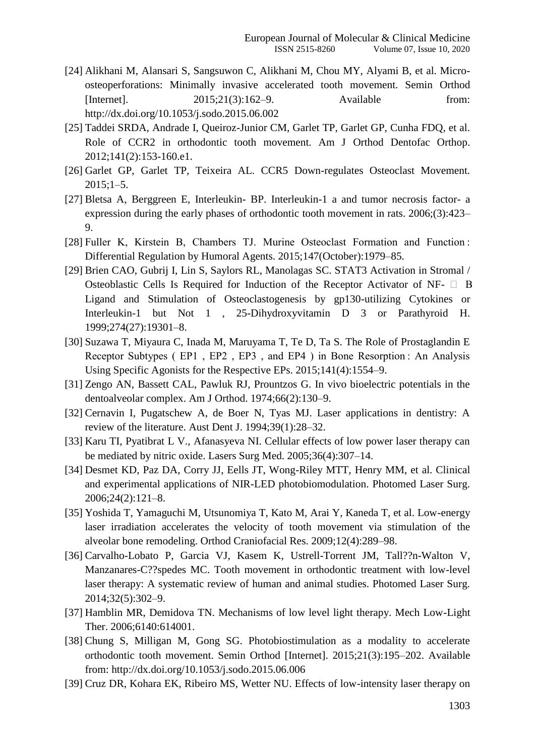- [24] Alikhani M, Alansari S, Sangsuwon C, Alikhani M, Chou MY, Alyami B, et al. Microosteoperforations: Minimally invasive accelerated tooth movement. Semin Orthod [Internet]. 2015;21(3):162–9. Available from: http://dx.doi.org/10.1053/j.sodo.2015.06.002
- [25] Taddei SRDA, Andrade I, Queiroz-Junior CM, Garlet TP, Garlet GP, Cunha FDQ, et al. Role of CCR2 in orthodontic tooth movement. Am J Orthod Dentofac Orthop. 2012;141(2):153-160.e1.
- [26] Garlet GP, Garlet TP, Teixeira AL. CCR5 Down-regulates Osteoclast Movement.  $2015;1-5.$
- [27] Bletsa A, Berggreen E, Interleukin- BP. Interleukin-1 a and tumor necrosis factor- a expression during the early phases of orthodontic tooth movement in rats. 2006;(3):423– 9.
- [28] Fuller K, Kirstein B, Chambers TJ. Murine Osteoclast Formation and Function : Differential Regulation by Humoral Agents. 2015;147(October):1979–85.
- [29] Brien CAO, Gubrij I, Lin S, Saylors RL, Manolagas SC. STAT3 Activation in Stromal / Osteoblastic Cells Is Required for Induction of the Receptor Activator of NF-  $\Box$  B Ligand and Stimulation of Osteoclastogenesis by gp130-utilizing Cytokines or Interleukin-1 but Not 1 , 25-Dihydroxyvitamin D 3 or Parathyroid H. 1999;274(27):19301–8.
- [30] Suzawa T, Miyaura C, Inada M, Maruyama T, Te D, Ta S. The Role of Prostaglandin E Receptor Subtypes ( EP1, EP2, EP3, and EP4) in Bone Resorption: An Analysis Using Specific Agonists for the Respective EPs. 2015;141(4):1554–9.
- [31] Zengo AN, Bassett CAL, Pawluk RJ, Prountzos G. In vivo bioelectric potentials in the dentoalveolar complex. Am J Orthod. 1974;66(2):130–9.
- [32] Cernavin I, Pugatschew A, de Boer N, Tyas MJ. Laser applications in dentistry: A review of the literature. Aust Dent J. 1994;39(1):28–32.
- [33] Karu TI, Pyatibrat L V., Afanasyeva NI. Cellular effects of low power laser therapy can be mediated by nitric oxide. Lasers Surg Med. 2005;36(4):307–14.
- [34] Desmet KD, Paz DA, Corry JJ, Eells JT, Wong-Riley MTT, Henry MM, et al. Clinical and experimental applications of NIR-LED photobiomodulation. Photomed Laser Surg. 2006;24(2):121–8.
- [35] Yoshida T, Yamaguchi M, Utsunomiya T, Kato M, Arai Y, Kaneda T, et al. Low-energy laser irradiation accelerates the velocity of tooth movement via stimulation of the alveolar bone remodeling. Orthod Craniofacial Res. 2009;12(4):289–98.
- [36] Carvalho-Lobato P, Garcia VJ, Kasem K, Ustrell-Torrent JM, Tall??n-Walton V, Manzanares-C??spedes MC. Tooth movement in orthodontic treatment with low-level laser therapy: A systematic review of human and animal studies. Photomed Laser Surg. 2014;32(5):302–9.
- [37] Hamblin MR, Demidova TN. Mechanisms of low level light therapy. Mech Low-Light Ther. 2006;6140:614001.
- [38] Chung S, Milligan M, Gong SG. Photobiostimulation as a modality to accelerate orthodontic tooth movement. Semin Orthod [Internet]. 2015;21(3):195–202. Available from: http://dx.doi.org/10.1053/j.sodo.2015.06.006
- [39] Cruz DR, Kohara EK, Ribeiro MS, Wetter NU. Effects of low-intensity laser therapy on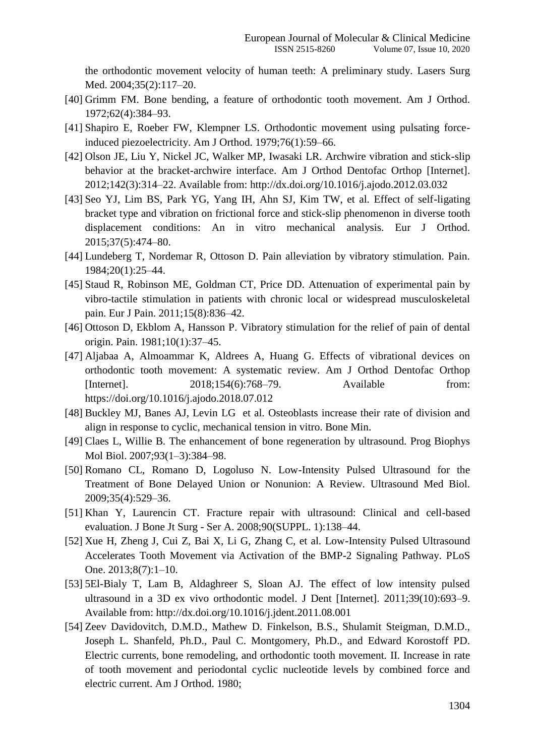the orthodontic movement velocity of human teeth: A preliminary study. Lasers Surg Med. 2004;35(2):117–20.

- [40] Grimm FM. Bone bending, a feature of orthodontic tooth movement. Am J Orthod. 1972;62(4):384–93.
- [41] Shapiro E, Roeber FW, Klempner LS. Orthodontic movement using pulsating forceinduced piezoelectricity. Am J Orthod. 1979;76(1):59–66.
- [42] Olson JE, Liu Y, Nickel JC, Walker MP, Iwasaki LR. Archwire vibration and stick-slip behavior at the bracket-archwire interface. Am J Orthod Dentofac Orthop [Internet]. 2012;142(3):314–22. Available from: http://dx.doi.org/10.1016/j.ajodo.2012.03.032
- [43] Seo YJ, Lim BS, Park YG, Yang IH, Ahn SJ, Kim TW, et al. Effect of self-ligating bracket type and vibration on frictional force and stick-slip phenomenon in diverse tooth displacement conditions: An in vitro mechanical analysis. Eur J Orthod. 2015;37(5):474–80.
- [44] Lundeberg T, Nordemar R, Ottoson D. Pain alleviation by vibratory stimulation. Pain. 1984;20(1):25–44.
- [45] Staud R, Robinson ME, Goldman CT, Price DD. Attenuation of experimental pain by vibro-tactile stimulation in patients with chronic local or widespread musculoskeletal pain. Eur J Pain. 2011;15(8):836–42.
- [46] Ottoson D, Ekblom A, Hansson P. Vibratory stimulation for the relief of pain of dental origin. Pain. 1981;10(1):37–45.
- [47] Aljabaa A, Almoammar K, Aldrees A, Huang G. Effects of vibrational devices on orthodontic tooth movement: A systematic review. Am J Orthod Dentofac Orthop [Internet]. 2018;154(6):768–79. Available from: https://doi.org/10.1016/j.ajodo.2018.07.012
- [48] Buckley MJ, Banes AJ, Levin LG et al. Osteoblasts increase their rate of division and align in response to cyclic, mechanical tension in vitro. Bone Min.
- [49] Claes L, Willie B. The enhancement of bone regeneration by ultrasound. Prog Biophys Mol Biol. 2007;93(1–3):384–98.
- [50] Romano CL, Romano D, Logoluso N. Low-Intensity Pulsed Ultrasound for the Treatment of Bone Delayed Union or Nonunion: A Review. Ultrasound Med Biol. 2009;35(4):529–36.
- [51] Khan Y, Laurencin CT. Fracture repair with ultrasound: Clinical and cell-based evaluation. J Bone Jt Surg - Ser A. 2008;90(SUPPL. 1):138–44.
- [52] Xue H, Zheng J, Cui Z, Bai X, Li G, Zhang C, et al. Low-Intensity Pulsed Ultrasound Accelerates Tooth Movement via Activation of the BMP-2 Signaling Pathway. PLoS One. 2013;8(7):1–10.
- [53] 5El-Bialy T, Lam B, Aldaghreer S, Sloan AJ. The effect of low intensity pulsed ultrasound in a 3D ex vivo orthodontic model. J Dent [Internet]. 2011;39(10):693–9. Available from: http://dx.doi.org/10.1016/j.jdent.2011.08.001
- [54] Zeev Davidovitch, D.M.D., Mathew D. Finkelson, B.S., Shulamit Steigman, D.M.D., Joseph L. Shanfeld, Ph.D., Paul C. Montgomery, Ph.D., and Edward Korostoff PD. Electric currents, bone remodeling, and orthodontic tooth movement. II. Increase in rate of tooth movement and periodontal cyclic nucleotide levels by combined force and electric current. Am J Orthod. 1980;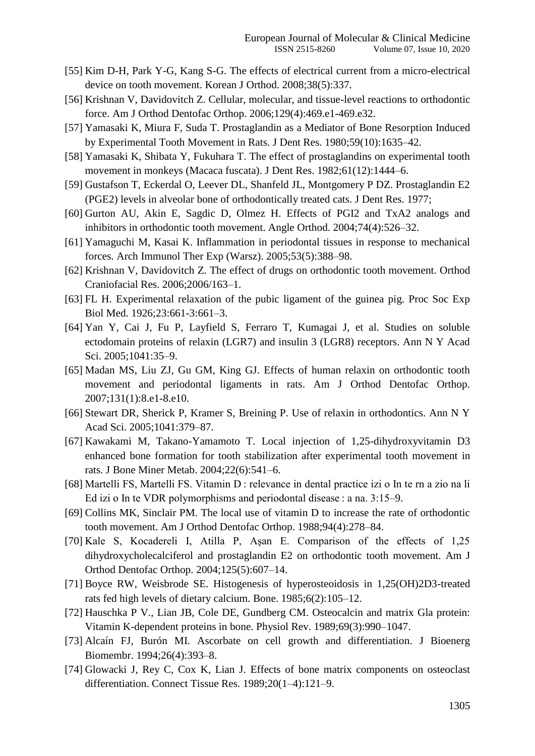- [55] Kim D-H, Park Y-G, Kang S-G. The effects of electrical current from a micro-electrical device on tooth movement. Korean J Orthod. 2008;38(5):337.
- [56] Krishnan V, Davidovitch Z. Cellular, molecular, and tissue-level reactions to orthodontic force. Am J Orthod Dentofac Orthop. 2006;129(4):469.e1-469.e32.
- [57] Yamasaki K, Miura F, Suda T. Prostaglandin as a Mediator of Bone Resorption Induced by Experimental Tooth Movement in Rats. J Dent Res. 1980;59(10):1635–42.
- [58] Yamasaki K, Shibata Y, Fukuhara T. The effect of prostaglandins on experimental tooth movement in monkeys (Macaca fuscata). J Dent Res. 1982;61(12):1444–6.
- [59] Gustafson T, Eckerdal O, Leever DL, Shanfeld JL, Montgomery P DZ. Prostaglandin E2 (PGE2) levels in alveolar bone of orthodontically treated cats. J Dent Res. 1977;
- [60] Gurton AU, Akin E, Sagdic D, Olmez H. Effects of PGI2 and TxA2 analogs and inhibitors in orthodontic tooth movement. Angle Orthod. 2004;74(4):526–32.
- [61] Yamaguchi M, Kasai K. Inflammation in periodontal tissues in response to mechanical forces. Arch Immunol Ther Exp (Warsz). 2005;53(5):388–98.
- [62] Krishnan V, Davidovitch Z. The effect of drugs on orthodontic tooth movement. Orthod Craniofacial Res. 2006;2006/163–1.
- [63] FL H. Experimental relaxation of the pubic ligament of the guinea pig. Proc Soc Exp Biol Med. 1926;23:661-3:661–3.
- [64] Yan Y, Cai J, Fu P, Layfield S, Ferraro T, Kumagai J, et al. Studies on soluble ectodomain proteins of relaxin (LGR7) and insulin 3 (LGR8) receptors. Ann N Y Acad Sci. 2005;1041:35–9.
- [65] Madan MS, Liu ZJ, Gu GM, King GJ. Effects of human relaxin on orthodontic tooth movement and periodontal ligaments in rats. Am J Orthod Dentofac Orthop. 2007;131(1):8.e1-8.e10.
- [66] Stewart DR, Sherick P, Kramer S, Breining P. Use of relaxin in orthodontics. Ann N Y Acad Sci. 2005;1041:379–87.
- [67] Kawakami M, Takano-Yamamoto T. Local injection of 1,25-dihydroxyvitamin D3 enhanced bone formation for tooth stabilization after experimental tooth movement in rats. J Bone Miner Metab. 2004;22(6):541–6.
- [68] Martelli FS, Martelli FS. Vitamin D : relevance in dental practice izi o In te rn a zio na li Ed izi o In te VDR polymorphisms and periodontal disease : a na.  $3:15-9$ .
- [69] Collins MK, Sinclair PM. The local use of vitamin D to increase the rate of orthodontic tooth movement. Am J Orthod Dentofac Orthop. 1988;94(4):278–84.
- [70] Kale S, Kocadereli I, Atilla P, Asan E. Comparison of the effects of  $1,25$ dihydroxycholecalciferol and prostaglandin E2 on orthodontic tooth movement. Am J Orthod Dentofac Orthop. 2004;125(5):607–14.
- [71] Boyce RW, Weisbrode SE. Histogenesis of hyperosteoidosis in 1,25(OH)2D3-treated rats fed high levels of dietary calcium. Bone. 1985;6(2):105–12.
- [72] Hauschka P V., Lian JB, Cole DE, Gundberg CM. Osteocalcin and matrix Gla protein: Vitamin K-dependent proteins in bone. Physiol Rev. 1989;69(3):990–1047.
- [73] Alcaín FJ, Burón MI. Ascorbate on cell growth and differentiation. J Bioenerg Biomembr. 1994;26(4):393–8.
- [74] Glowacki J, Rey C, Cox K, Lian J. Effects of bone matrix components on osteoclast differentiation. Connect Tissue Res. 1989;20(1–4):121–9.